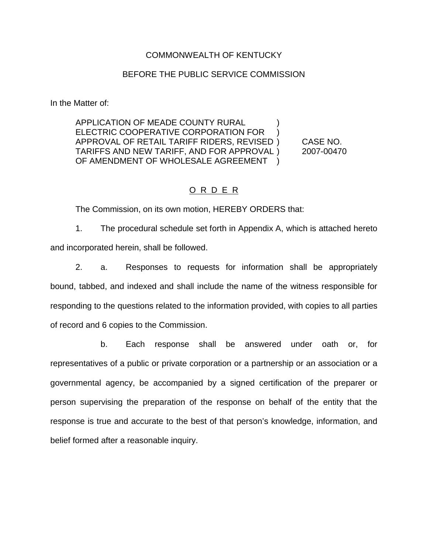#### COMMONWEALTH OF KENTUCKY

#### BEFORE THE PUBLIC SERVICE COMMISSION

In the Matter of:

APPLICATION OF MEADE COUNTY RURAL ) ELECTRIC COOPERATIVE CORPORATION FOR ) APPROVAL OF RETAIL TARIFF RIDERS, REVISED ) CASE NO. TARIFFS AND NEW TARIFF, AND FOR APPROVAL ) 2007-00470 OF AMENDMENT OF WHOLESALE AGREEMENT

### O R D E R

The Commission, on its own motion, HEREBY ORDERS that:

1. The procedural schedule set forth in Appendix A, which is attached hereto and incorporated herein, shall be followed.

2. a. Responses to requests for information shall be appropriately bound, tabbed, and indexed and shall include the name of the witness responsible for responding to the questions related to the information provided, with copies to all parties of record and 6 copies to the Commission.

b. Each response shall be answered under oath or, for representatives of a public or private corporation or a partnership or an association or a governmental agency, be accompanied by a signed certification of the preparer or person supervising the preparation of the response on behalf of the entity that the response is true and accurate to the best of that person's knowledge, information, and belief formed after a reasonable inquiry.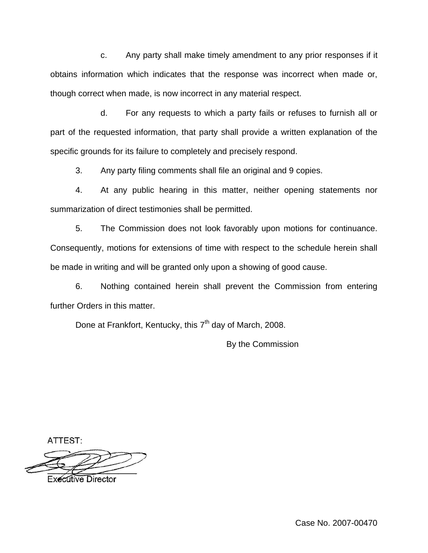c. Any party shall make timely amendment to any prior responses if it obtains information which indicates that the response was incorrect when made or, though correct when made, is now incorrect in any material respect.

d. For any requests to which a party fails or refuses to furnish all or part of the requested information, that party shall provide a written explanation of the specific grounds for its failure to completely and precisely respond.

3. Any party filing comments shall file an original and 9 copies.

4. At any public hearing in this matter, neither opening statements nor summarization of direct testimonies shall be permitted.

5. The Commission does not look favorably upon motions for continuance. Consequently, motions for extensions of time with respect to the schedule herein shall be made in writing and will be granted only upon a showing of good cause.

6. Nothing contained herein shall prevent the Commission from entering further Orders in this matter.

Done at Frankfort, Kentucky, this  $7<sup>th</sup>$  day of March, 2008.

By the Commission

ATTEST:

**Executive Director**